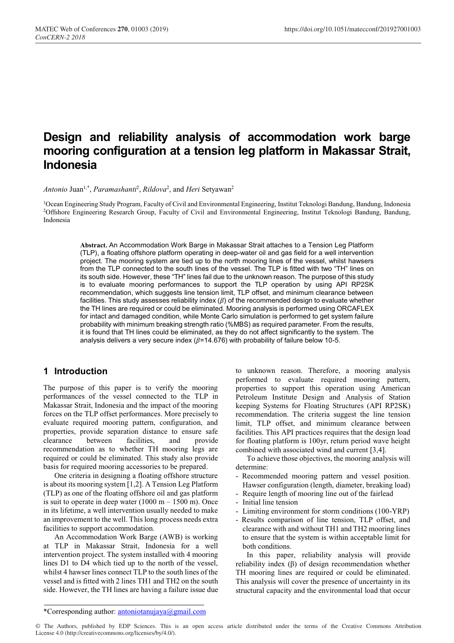# **Design and reliability analysis of accommodation work barge mooring configuration at a tension leg platform in Makassar Strait, Indonesia**

Antonio Juan<sup>1,\*</sup>, *Paramashanti<sup>2</sup>*, *Rildova<sup>2</sup>*, and *Heri* Setyawan<sup>2</sup>

1Ocean Engineering Study Program, Faculty of Civil and Environmental Engineering, Institut Teknologi Bandung, Bandung, Indonesia 2Offshore Engineering Research Group, Faculty of Civil and Environmental Engineering, Institut Teknologi Bandung, Bandung, Indonesia

**Abstract.** An Accommodation Work Barge in Makassar Strait attaches to a Tension Leg Platform (TLP), a floating offshore platform operating in deep-water oil and gas field for a well intervention project. The mooring system are tied up to the north mooring lines of the vessel, whilst hawsers from the TLP connected to the south lines of the vessel. The TLP is fitted with two "TH" lines on its south side. However, these "TH" lines fail due to the unknown reason. The purpose of this study is to evaluate mooring performances to support the TLP operation by using API RP2SK recommendation, which suggests line tension limit, TLP offset, and minimum clearance between facilities. This study assesses reliability index  $(\beta)$  of the recommended design to evaluate whether the TH lines are required or could be eliminated. Mooring analysis is performed using ORCAFLEX for intact and damaged condition, while Monte Carlo simulation is performed to get system failure probability with minimum breaking strength ratio (%MBS) as required parameter. From the results, it is found that TH lines could be eliminated, as they do not affect significantly to the system. The analysis delivers a very secure index ( $\beta$ =14.676) with probability of failure below 10-5.

# **1 Introduction**

The purpose of this paper is to verify the mooring performances of the vessel connected to the TLP in Makassar Strait, Indonesia and the impact of the mooring forces on the TLP offset performances. More precisely to evaluate required mooring pattern, configuration, and properties, provide separation distance to ensure safe clearance between facilities, and provide recommendation as to whether TH mooring legs are required or could be eliminated. This study also provide basis for required mooring accessories to be prepared.

One criteria in designing a floating offshore structure is about its mooring system [1,2]. A Tension Leg Platform (TLP) as one of the floating offshore oil and gas platform is suit to operate in deep water  $(1000 \text{ m} - 1500 \text{ m})$ . Once in its lifetime, a well intervention usually needed to make an improvement to the well. This long process needs extra facilities to support accommodation.

An Accommodation Work Barge (AWB) is working at TLP in Makassar Strait, Indonesia for a well intervention project. The system installed with 4 mooring lines D1 to D4 which tied up to the north of the vessel, whilst 4 hawser lines connect TLP to the south lines of the vessel and is fitted with 2 lines TH1 and TH2 on the south side. However, the TH lines are having a failure issue due to unknown reason. Therefore, a mooring analysis performed to evaluate required mooring pattern, properties to support this operation using American Petroleum Institute Design and Analysis of Station keeping Systems for Floating Structures (API RP2SK) recommendation. The criteria suggest the line tension limit, TLP offset, and minimum clearance between facilities. This API practices requires that the design load for floating platform is 100yr, return period wave height combined with associated wind and current [3,4].

To achieve those objectives, the mooring analysis will determine:

- Recommended mooring pattern and vessel position. Hawser configuration (length, diameter, breaking load)
- Require length of mooring line out of the fairlead
- Initial line tension
- Limiting environment for storm conditions (100-YRP)
- Results comparison of line tension, TLP offset, and clearance with and without TH1 and TH2 mooring lines to ensure that the system is within acceptable limit for both conditions.

In this paper, reliability analysis will provide reliability index (β) of design recommendation whether TH mooring lines are required or could be eliminated. This analysis will cover the presence of uncertainty in its structural capacity and the environmental load that occur

<sup>\*</sup>Corresponding author: antoniotanujaya@gmail.com

<sup>©</sup> The Authors, published by EDP Sciences. This is an open access article distributed under the terms of the Creative Commons Attribution License 4.0 (http://creativecommons.org/licenses/by/4.0/).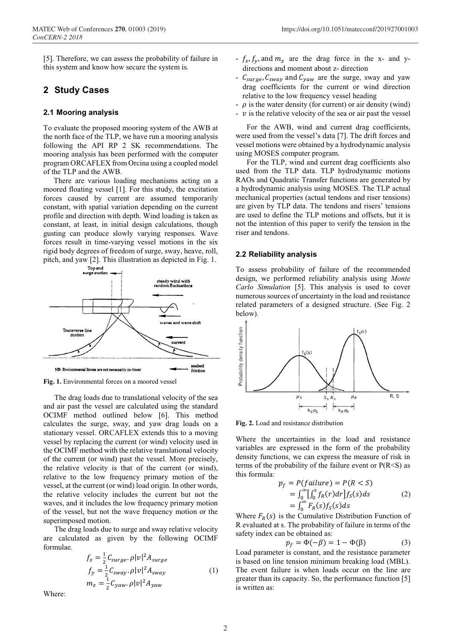[5]. Therefore, we can assess the probability of failure in this system and know how secure the system is.

# **2 Study Cases**

## **2.1 Mooring analysis**

To evaluate the proposed mooring system of the AWB at the north face of the TLP, we have run a mooring analysis following the API RP 2 SK recommendations. The mooring analysis has been performed with the computer program ORCAFLEX from Orcina using a coupled model of the TLP and the AWB.

There are various loading mechanisms acting on a moored floating vessel [1]. For this study, the excitation forces caused by current are assumed temporarily constant, with spatial variation depending on the current profile and direction with depth. Wind loading is taken as constant, at least, in initial design calculations, though gusting can produce slowly varying responses. Wave forces result in time-varying vessel motions in the six rigid body degrees of freedom of surge, sway, heave, roll, pitch, and yaw [2]. This illustration as depicted in Fig. 1.



**Fig. 1.** Environmental forces on a moored vessel

The drag loads due to translational velocity of the sea and air past the vessel are calculated using the standard OCIMF method outlined below [6]. This method calculates the surge, sway, and yaw drag loads on a stationary vessel. ORCAFLEX extends this to a moving vessel by replacing the current (or wind) velocity used in the OCIMF method with the relative translational velocity of the current (or wind) past the vessel. More precisely, the relative velocity is that of the current (or wind), relative to the low frequency primary motion of the vessel, at the current (or wind) load origin. In other words, the relative velocity includes the current but not the waves, and it includes the low frequency primary motion of the vessel, but not the wave frequency motion or the superimposed motion.

The drag loads due to surge and sway relative velocity are calculated as given by the following OCIMF formulae.

$$
f_x = \frac{1}{2} C_{\text{surface}} \rho |v|^2 A_{\text{surface}}
$$
  
\n
$$
f_y = \frac{1}{2} C_{\text{swap}} \rho |v|^2 A_{\text{swap}}
$$
  
\n
$$
m_z = \frac{1}{2} C_{\text{yaw}} \rho |v|^2 A_{\text{yaw}}
$$
\n(1)

Where:

- $f_x$ ,  $f_y$ , and  $m_z$  are the drag force in the x- and ydirections and moment about z- direction
- $C_{\text{surface}}$ ,  $C_{\text{swap}}$  and  $C_{\text{yaw}}$  are the surge, sway and yaw drag coefficients for the current or wind direction relative to the low frequency vessel heading
- $\rho$  is the water density (for current) or air density (wind)
- $\cdot$  v is the relative velocity of the sea or air past the vessel

For the AWB, wind and current drag coefficients, were used from the vessel's data [7]. The drift forces and vessel motions were obtained by a hydrodynamic analysis using MOSES computer program.

For the TLP, wind and current drag coefficients also used from the TLP data. TLP hydrodynamic motions RAOs and Quadratic Transfer functions are generated by a hydrodynamic analysis using MOSES. The TLP actual mechanical properties (actual tendons and riser tensions) are given by TLP data. The tendons and risers' tensions are used to define the TLP motions and offsets, but it is not the intention of this paper to verify the tension in the riser and tendons.

## **2.2 Reliability analysis**

To assess probability of failure of the recommended design, we performed reliability analysis using *Monte Carlo Simulation* [5]. This analysis is used to cover numerous sources of uncertainty in the load and resistance related parameters of a designed structure. (See Fig. 2 below).



**Fig. 2.** Load and resistance distribution

Where the uncertainties in the load and resistance variables are expressed in the form of the probability density functions, we can express the measure of risk in terms of the probability of the failure event or  $P(R \le S)$  as this formula:

$$
p_f = P(failure) = P(R < S)
$$
  
= 
$$
\int_0^{\infty} \left[ \int_0^{s} f_R(r) dr \right] f_S(s) ds
$$
 (2)  
= 
$$
\int_0^{\infty} F_R(s) f_S(s) ds
$$

Where  $F_R(s)$  is the Cumulative Distribution Function of R evaluated at s. The probability of failure in terms of the safety index can be obtained as:

$$
p_f = \Phi(-\beta) = 1 - \Phi(\beta) \tag{3}
$$

Load parameter is constant, and the resistance parameter is based on line tension minimum breaking load (MBL). The event failure is when loads occur on the line are greater than its capacity. So, the performance function [5] is written as: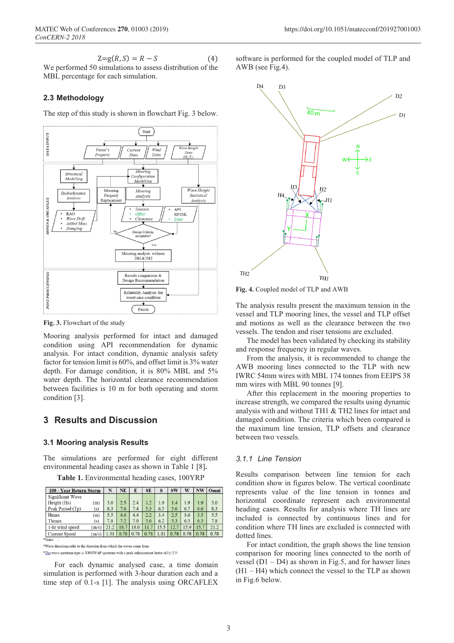$$
Z=g(R,S)=R-S
$$
 (4)

We performed 50 simulations to assess distribution of the MBL percentage for each simulation.

## **2.3 Methodology**

The step of this study is shown in flowchart Fig. 3 below.



**Fig. 3.** Flowchart of the study

Mooring analysis performed for intact and damaged condition using API recommendation for dynamic analysis. For intact condition, dynamic analysis safety factor for tension limit is 60%, and offset limit is 3% water depth. For damage condition, it is 80% MBL and 5% water depth. The horizontal clearance recommendation between facilities is 10 m for both operating and storm condition [3].

# **3 Results and Discussion**

#### **3.1 Mooring analysis Results**

The simulations are performed for eight different environmental heading cases as shown in Table 1 [8]**.**

**Table 1.** Environmental heading cases, 100YRP

| 100 - Year Return Storm |      |                 |      |      | S         | SW   | W    | NW   | Omni |
|-------------------------|------|-----------------|------|------|-----------|------|------|------|------|
| Significant Wave        |      |                 |      |      |           |      |      |      |      |
| Height (Hs)<br>(m)      |      | 2.5             | 2.4  | 1.2  | 1.9       | 1.4  | 1.9  | 1.9  | 3.0  |
| (s)                     | 8.3  | 7.6             | 7.4  | 5.3  | 6.5       | 5.6  | 6.7  | 6.6  | 8.3  |
| Hmax<br>(m)             |      | 4.6             | 4.4  | 2.2  | 3.4       | 2.5  | 3.6  | 3.5  | 5.5  |
| (s)                     | 7.8  | 7.2             | 7.0  | 5.0  | 6.2       | 5.3  | 6.3  | 6.3  | 7.8  |
| (m/s)                   | 21.2 | 18.7            | 18.0 | 11.7 | 15.5      | 12.7 | 15.9 | 15.7 | 21.2 |
| (m/s)                   | .31  | 0.78            | 0.78 | 0.78 | 1.31      | 0.78 | 0.78 | 0.78 | 0.78 |
|                         |      | N<br>3.0<br>5.5 | NE   | E    | <b>SE</b> |      |      |      |      |

\*Wave directions refer to the direction from which the waves come from

\*The wave spectrum type is JONSWAP spectrum with a peak enhancement factor of  $(\gamma)$  2.5

For each dynamic analysed case, a time domain simulation is performed with 3-hour duration each and a time step of 0.1-s [1]. The analysis using ORCAFLEX software is performed for the coupled model of TLP and AWB (see Fig.4).



**Fig. 4.** Coupled model of TLP and AWB

The analysis results present the maximum tension in the vessel and TLP mooring lines, the vessel and TLP offset and motions as well as the clearance between the two vessels. The tendon and riser tensions are excluded.

The model has been validated by checking its stability and response frequency in regular waves.

From the analysis, it is recommended to change the AWB mooring lines connected to the TLP with new IWRC 54mm wires with MBL 174 tonnes from EEIPS 38 mm wires with MBL 90 tonnes [9].

After this replacement in the mooring properties to increase strength, we compared the results using dynamic analysis with and without TH1 & TH2 lines for intact and damaged condition. The criteria which been compared is the maximum line tension, TLP offsets and clearance between two vessels.

## *3.1.1 Line Tension*

Results comparison between line tension for each condition show in figures below. The vertical coordinate represents value of the line tension in tonnes and horizontal coordinate represent each environmental heading cases. Results for analysis where TH lines are included is connected by continuous lines and for condition where TH lines are excluded is connected with dotted lines.

For intact condition, the graph shows the line tension comparison for mooring lines connected to the north of vessel  $(D1 - D4)$  as shown in Fig.5, and for hawser lines  $(H1 - H4)$  which connect the vessel to the TLP as shown in Fig.6 below.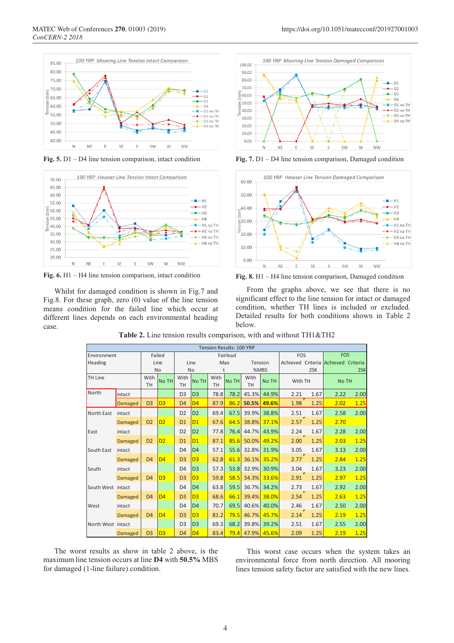

**Fig. 5.** D1 – D4 line tension comparison, intact condition



**Fig. 6.** H1 – H4 line tension comparison, intact condition

Whilst for damaged condition is shown in Fig.7 and Fig.8. For these graph, zero (0) value of the line tension means condition for the failed line which occur at different lines depends on each environmental heading case.



**Fig. 7.** D1 – D4 line tension comparison, Damaged condition



**Fig. 8.** H1 – H4 line tension comparison, Damaged condition

From the graphs above, we see that there is no significant effect to the line tension for intact or damaged condition, whether TH lines is included or excluded. Detailed results for both conditions shown in Table 2 below.

|                   |                |                   |                |                   |                |                   | <b>Tension Results: 100 YRP</b> |                   |       |            |      |                                     |            |  |
|-------------------|----------------|-------------------|----------------|-------------------|----------------|-------------------|---------------------------------|-------------------|-------|------------|------|-------------------------------------|------------|--|
| Environment       |                |                   | Failed         |                   |                |                   | Fairlead                        |                   |       | <b>FOS</b> |      |                                     | <b>FOS</b> |  |
| Heading           |                | Line              |                | Line              |                | Max               |                                 | Tension           |       |            |      | Achieved Criteria Achieved Criteria |            |  |
|                   |                | <b>No</b>         |                | <b>No</b>         |                | t                 |                                 | %MBS              |       | 2SK        |      | 2SK                                 |            |  |
| <b>TH Line</b>    |                | With<br><b>TH</b> | No TH          | With<br><b>TH</b> | <b>No TH</b>   | With<br><b>TH</b> | <b>No TH</b>                    | With<br><b>TH</b> | No TH | With TH    |      | No TH                               |            |  |
| North             | intact         |                   |                | D <sub>3</sub>    | D <sub>3</sub> | 78.8              | 78.2                            | 45.3%             | 44.9% | 2.21       | 1.67 | 2.22                                | 2.00       |  |
|                   | Damaged        | D <sub>3</sub>    | D <sub>3</sub> | D <sub>4</sub>    | D <sub>4</sub> | 87.9              | 86.2                            | 50.5%             | 49.6% | 1.98       | 1.25 | 2.02                                | 1.25       |  |
| <b>North East</b> | intact         |                   |                | D <sub>2</sub>    | D <sub>2</sub> | 69.4              | 67.5                            | 39.9%             | 38.8% | 2.51       | 1.67 | 2.58                                | 2.00       |  |
|                   | <b>Damaged</b> | D <sub>2</sub>    | D <sub>2</sub> | D <sub>1</sub>    | D <sub>1</sub> | 67.6              | 64.5                            | 38.8%             | 37.1% | 2.57       | 1.25 | 2.70                                |            |  |
| East              | intact         |                   |                | D <sub>2</sub>    | D <sub>2</sub> | 77.8              | 76.4                            | 44.7%             | 43.9% | 2.24       | 1.67 | 2.28                                | 2.00       |  |
|                   | <b>Damaged</b> | D <sub>2</sub>    | D <sub>2</sub> | D <sub>1</sub>    | D1             | 87.1              | 85.6                            | 50.0%             | 49.2% | 2.00       | 1.25 | 2.03                                | 1.25       |  |
| South East        | intact         |                   |                | D <sub>4</sub>    | D <sub>4</sub> | 57.1              | 55.6                            | 32.8%             | 31.9% | 3.05       | 1.67 | 3.13                                | 2.00       |  |
|                   | Damaged        | D <sub>4</sub>    | D <sub>4</sub> | D <sub>3</sub>    | D <sub>3</sub> | 62.8              | 61.3                            | 36.1%             | 35.2% | 2.77       | 1.25 | 2.84                                | 1.25       |  |
| South             | intact         |                   |                | D <sub>4</sub>    | D <sub>3</sub> | 57.3              | 53.8                            | 32.9%             | 30.9% | 3.04       | 1.67 | 3.23                                | 2.00       |  |
|                   | Damaged        | D <sub>4</sub>    | D <sub>3</sub> | D <sub>3</sub>    | D <sub>3</sub> | 59.8              | 58.5                            | 34.3%             | 33.6% | 2.91       | 1.25 | 2.97                                | 1.25       |  |
| South West intact |                |                   |                | D <sub>4</sub>    | D <sub>4</sub> | 63.8              | 59.5                            | 36.7%             | 34.2% | 2.73       | 1.67 | 2.92                                | 2.00       |  |
|                   | <b>Damaged</b> | D <sub>4</sub>    | D <sub>4</sub> | D <sub>3</sub>    | D <sub>3</sub> | 68.6              | 66.1                            | 39.4%             | 38.0% | 2.54       | 1.25 | 2.63                                | 1.25       |  |
| West              | intact         |                   |                | D <sub>4</sub>    | D <sub>4</sub> | 70.7              | 69.5                            | 40.6%             | 40.0% | 2.46       | 1.67 | 2.50                                | 2.00       |  |
|                   | <b>Damaged</b> | D <sub>4</sub>    | D <sub>4</sub> | D <sub>3</sub>    | D <sub>3</sub> | 81.2              | 79.5                            | 46.7%             | 45.7% | 2.14       | 1.25 | 2.19                                | 1.25       |  |
| North West intact |                |                   |                | D <sub>3</sub>    | D <sub>3</sub> | 69.3              | 68.2                            | 39.8%             | 39.2% | 2.51       | 1.67 | 2.55                                | 2.00       |  |
|                   | Damaged        | D <sub>3</sub>    | D <sub>3</sub> | D <sub>4</sub>    | D4             | 83.4              |                                 | <b>79.4 47.9%</b> | 45.6% | 2.09       | 1.25 | 2.19                                | 1.25       |  |

**Table 2.** Line tension results comparison, with and without TH1&TH2

The worst results as show in table 2 above, is the maximum line tension occurs at line **D4** with **50.5%** MBS for damaged (1-line failure) condition.

This worst case occurs when the system takes an environmental force from north direction. All mooring lines tension safety factor are satisfied with the new lines.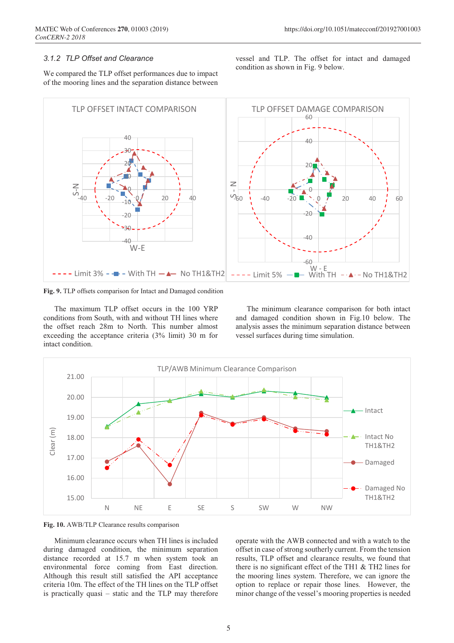vessel and TLP. The offset for intact and damaged

condition as shown in Fig. 9 below.

#### *3.1.2 TLP Offset and Clearance*

We compared the TLP offset performances due to impact of the mooring lines and the separation distance between



**Fig. 9.** TLP offsets comparison for Intact and Damaged condition

The maximum TLP offset occurs in the 100 YRP conditions from South, with and without TH lines where the offset reach 28m to North. This number almost exceeding the acceptance criteria (3% limit) 30 m for intact condition.

The minimum clearance comparison for both intact and damaged condition shown in Fig.10 below. The analysis asses the minimum separation distance between vessel surfaces during time simulation.



**Fig. 10.** AWB/TLP Clearance results comparison

Minimum clearance occurs when TH lines is included during damaged condition, the minimum separation distance recorded at 15.7 m when system took an environmental force coming from East direction. Although this result still satisfied the API acceptance criteria 10m. The effect of the TH lines on the TLP offset is practically quasi – static and the TLP may therefore

operate with the AWB connected and with a watch to the offset in case of strong southerly current. From the tension results, TLP offset and clearance results, we found that there is no significant effect of the TH1 & TH2 lines for the mooring lines system. Therefore, we can ignore the option to replace or repair those lines. However, the minor change of the vessel's mooring properties is needed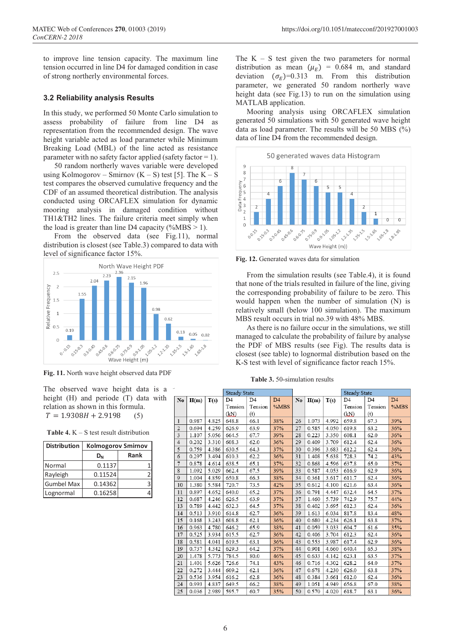to improve line tension capacity. The maximum line tension occurred in line D4 for damaged condition in case of strong northerly environmental forces.

## **3.2 Reliability analysis Results**

In this study, we performed 50 Monte Carlo simulation to assess probability of failure from line D4 as representation from the recommended design. The wave height variable acted as load parameter while Minimum Breaking Load (MBL) of the line acted as resistance parameter with no safety factor applied (safety factor  $= 1$ ).

50 random northerly waves variable were developed using Kolmogorov – Smirnov  $(K - S)$  test [5]. The  $K - S$ test compares the observed cumulative frequency and the CDF of an assumed theoretical distribution. The analysis conducted using ORCAFLEX simulation for dynamic mooring analysis in damaged condition without TH1&TH2 lines. The failure criteria meet simply when the load is greater than line D4 capacity  $(\%MBS > 1)$ .

From the observed data (see Fig.11), normal distribution is closest (see Table.3) compared to data with level of significance factor 15%.



**Fig. 11.** North wave height observed data PDF

The observed wave height data is a height (H) and periode (T) data with relation as shown in this formula.  $T = 1.9308H + 2.9198$  (5)

**Table 4.** K – S test result distribution

| <b>Distribution</b> | <b>Kolmogorov Smirnov</b> |      |  |  |  |  |
|---------------------|---------------------------|------|--|--|--|--|
|                     | $D_{N}$                   | Rank |  |  |  |  |
| Normal              | 0.1137                    |      |  |  |  |  |
| Rayleigh            | 0.11524                   |      |  |  |  |  |
| <b>Gumbel Max</b>   | 0.14362                   |      |  |  |  |  |
| Lognormal           | 0.16258                   |      |  |  |  |  |

The  $K - S$  test given the two parameters for normal distribution as mean  $(\mu_E)$  = 0.684 m, and standard deviation  $(\sigma_E)$ =0.313 m. From this distribution parameter, we generated 50 random northerly wave height data (see Fig.13) to run on the simulation using MATLAB application.

Mooring analysis using ORCAFLEX simulation generated 50 simulations with 50 generated wave height data as load parameter. The results will be 50 MBS (%) data of line D4 from the recommended design.



**Fig. 12.** Generated waves data for simulation

From the simulation results (see Table.4), it is found that none of the trials resulted in failure of the line, giving the corresponding probability of failure to be zero. This would happen when the number of simulation (N) is relatively small (below 100 simulation). The maximum MBS result occurs in trial no.39 with 48% MBS.

As there is no failure occur in the simulations, we still managed to calculate the probability of failure by analyse the PDF of MBS results (see Fig). The results data is closest (see table) to lognormal distribution based on the K-S test with level of significance factor reach 15%.

**Table 3.** 50-simulation results

|                |       |       | <b>Steady State</b> |                |                |    |       |       | <b>Steady State</b> |                |                |
|----------------|-------|-------|---------------------|----------------|----------------|----|-------|-------|---------------------|----------------|----------------|
| No             | H(m)  | T(s)  | D <sub>4</sub>      | D <sub>4</sub> | D <sub>4</sub> | No | H(m)  | T(s)  | D <sub>4</sub>      | D <sub>4</sub> | D <sub>4</sub> |
|                |       |       | Tension             | Tension        | %MBS           |    |       |       | Tension             | Tension        | %MBS           |
|                |       |       | (kN)                | (t)            |                |    |       |       | (kN)                | (t)            |                |
| $\mathbf{1}$   | 0.987 | 4.825 | 648.8               | 66.1           | 38%            | 26 | 1.073 | 4.992 | 659.8               | 67.3           | 39%            |
| $\overline{2}$ | 0.694 | 4.259 | 626.9               | 63.9           | 37%            | 27 | 0.585 | 4.050 | 619.8               | 63.2           | 36%            |
| 3              | 1.107 | 5.056 | 664.5               | 67.7           | 39%            | 28 | 0.223 | 3.350 | 608.1               | 62.0           | 36%            |
| $\overline{4}$ | 0.202 | 3.310 | 608.3               | 62.0           | 36%            | 29 | 0.409 | 3.709 | 612.4               | 62.4           | 36%            |
| 5              | 0.759 | 4.386 | 630.5               | 64.3           | 37%            | 30 | 0.396 | 3.683 | 612.2               | 62.4           | 36%            |
| 6              | 0.297 | 3.494 | 610.3               | 62.2           | 36%            | 31 | 1.408 | 5.638 | 728.3               | 74.2           | 43%            |
| 7              | 0.878 | 4.614 | 638.5               | 65.1           | 37%            | 32 | 0.868 | 4.596 | 637.8               | 65.0           | 37%            |
| 8              | 1.092 | 5.029 | 662.4               | 67.5           | 39%            | 33 | 0.587 | 4.053 | 616.9               | 62.9           | 36%            |
| 9              | 1.004 | 4.859 | 650.8               | 66.3           | 38%            | 34 | 0.361 | 3.617 | 611.7               | 62.4           | 36%            |
| 10             | 1.380 | 5.584 | 720.7               | 73.5           | 42%            | 35 | 0.612 | 4.100 | 621.6               | 63.4           | 36%            |
| 11             | 0.897 | 4.652 | 640.0               | 65.2           | 37%            | 36 | 0.791 | 4.447 | 632.4               | 64.5           | 37%            |
| 12             | 0.687 | 4.246 | 626.5               | 63.9           | 37%            | 37 | 1.460 | 5.739 | 742.9               | 75.7           | 44%            |
| 13             | 0.789 | 4.442 | 632.3               | 64.5           | 37%            | 38 | 0.402 | 3.695 | 612.3               | 62.4           | 36%            |
| 14             | 0.513 | 3.910 | 614.8               | 62.7           | 36%            | 39 | 1.613 | 6.034 | 817.8               | 83.4           | 48%            |
| 15             | 0.168 | 3.243 | 608.8               | 62.1           | 36%            | 40 | 0.680 | 4.234 | 626.1               | 63.8           | 37%            |
| 16             | 0.963 | 4.780 | 646.2               | 65.9           | 38%            | 41 | 0.059 | 3.033 | 604.7               | 61.6           | 35%            |
| 17             | 0.525 | 3.934 | 615.5               | 62.7           | 36%            | 42 | 0.406 | 3.704 | 612.3               | 62.4           | 36%            |
| 18             | 0.581 | 4.041 | 619.5               | 63.1           | 36%            | 43 | 0.553 | 3.987 | 617.4               | 62.9           | 36%            |
| 19             | 0.737 | 4.342 | 629.3               | 64.2           | 37%            | 44 | 0.901 | 4.660 | 640.4               | 65.3           | 38%            |
| 20             | 1.478 | 5.773 | 784.5               | 80.0           | 46%            | 45 | 0.633 | 4.142 | 623.1               | 63.5           | 37%            |
| 21             | 1.401 | 5.626 | 726.6               | 74.1           | 43%            | 46 | 0.716 | 4.302 | 628.2               | 64.0           | 37%            |
| 22             | 0.272 | 3.444 | 609.2               | 62.1           | 36%            | 47 | 0.678 | 4.230 | 626.0               | 63.8           | 37%            |
| 23             | 0.536 | 3.954 | 616.2               | 62.8           | 36%            | 48 | 0.384 | 3.661 | 612.0               | 62.4           | 36%            |
| 24             | 0.993 | 4.837 | 649.5               | 66.2           | 38%            | 49 | 1.051 | 4.949 | 656.8               | 67.0           | 38%            |
| 25             | 0.036 | 2.989 | 595.7               | 60.7           | 35%            | 50 | 0.570 | 4.020 | 618.7               | 63.1           | 36%            |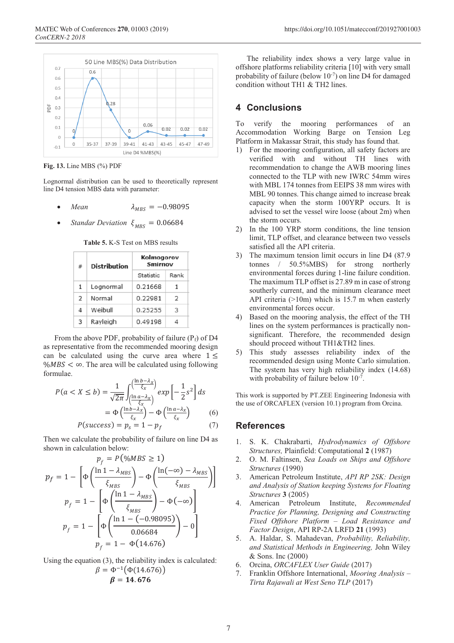

**Fig. 13.** Line MBS (%) PDF

Lognormal distribution can be used to theoretically represent line D4 tension MBS data with parameter:

- *Mean*  $\lambda_{MBS} = -0.98095$
- *Standar Deviation*  $\xi_{MRS} = 0.06684$

**Table 5.** K-S Test on MBS results

| ₩              | Distribution | Kolmogorov<br>Smirnov |      |  |  |  |  |
|----------------|--------------|-----------------------|------|--|--|--|--|
|                |              | Statistic             | Rank |  |  |  |  |
| 1              | Lognormal    | 0.21668               | 1    |  |  |  |  |
| $\overline{z}$ | Normal       | 0.22981               | 2    |  |  |  |  |
| 4              | Weibull      | 0.25255               | з    |  |  |  |  |
| з              | Rayleigh     | 0.49198               |      |  |  |  |  |

From the above PDF, probability of failure ( $P_f$ ) of D4 as representative from the recommended mooring design can be calculated using the curve area where  $1 \leq$  $\% MBS < \infty$ . The area will be calculated using following formulae.  $\ln h - 1$ 

$$
P(a < X \le b) = \frac{1}{\sqrt{2\pi}} \int_{\left(\frac{\ln a - \lambda_x}{\xi_x}\right)}^{\left(\frac{\ln a - \lambda_x}{\xi_x}\right)} \exp\left[-\frac{1}{2}s^2\right] ds
$$
\n
$$
= \Phi\left(\frac{\ln b - \lambda_x}{\xi_x}\right) - \Phi\left(\frac{\ln a - \lambda_x}{\xi_x}\right) \tag{6}
$$

$$
P(success) = p_s = 1 - p_f \tag{7}
$$

Then we calculate the probability of failure on line D4 as shown in calculation below:

$$
p_f = P(\%MBS \ge 1)
$$
  
\n
$$
p_f = 1 - \left[\Phi\left(\frac{\ln 1 - \lambda_{MBS}}{\xi_{MBS}}\right) - \Phi\left(\frac{\ln(-\infty) - \lambda_{MBS}}{\xi_{MBS}}\right)\right]
$$
  
\n
$$
p_f = 1 - \left[\Phi\left(\frac{\ln 1 - \lambda_{MBS}}{\xi_{MBS}}\right) - \Phi(-\infty)\right]
$$
  
\n
$$
p_f = 1 - \left[\Phi\left(\frac{\ln 1 - (-0.98095)}{0.06684}\right) - 0\right]
$$
  
\n
$$
p_f = 1 - \Phi(14.676)
$$

Using the equation (3), the reliability index is calculated:

$$
\beta = \Phi^{-1}(\Phi(14.676))
$$
  

$$
\beta = 14.676
$$

The reliability index shows a very large value in offshore platforms reliability criteria [10] with very small probability of failure (below 10<sup>-7</sup>) on line D4 for damaged condition without TH1 & TH2 lines.

# **4 Conclusions**

To verify the mooring performances of an Accommodation Working Barge on Tension Leg Platform in Makassar Strait, this study has found that.

- 1) For the mooring configuration, all safety factors are verified with and without TH lines with recommendation to change the AWB mooring lines connected to the TLP with new IWRC 54mm wires with MBL 174 tonnes from EEIPS 38 mm wires with MBL 90 tonnes. This change aimed to increase break capacity when the storm 100YRP occurs. It is advised to set the vessel wire loose (about 2m) when the storm occurs.
- 2) In the 100 YRP storm conditions, the line tension limit, TLP offset, and clearance between two vessels satisfied all the API criteria.
- 3) The maximum tension limit occurs in line D4 (87.9 tonnes / 50.5%MBS) for strong northerly environmental forces during 1-line failure condition. The maximum TLP offset is 27.89 m in case of strong southerly current, and the minimum clearance meet API criteria (>10m) which is 15.7 m when easterly environmental forces occur.
- 4) Based on the mooring analysis, the effect of the TH lines on the system performances is practically nonsignificant. Therefore, the recommended design should proceed without TH1&TH2 lines.
- 5) This study assesses reliability index of the recommended design using Monte Carlo simulation. The system has very high reliability index (14.68) with probability of failure below  $10^{-7}$ .

This work is supported by PT.ZEE Engineering Indonesia with the use of ORCAFLEX (version 10.1) program from Orcina.

# **References**

- 1. S. K. Chakrabarti, *Hydrodynamics of Offshore Structures,* Plainfield: Computational **2** (1987)
- 2. O. M. Faltinsen, *Sea Loads on Ships and Offshore Structures* (1990)
- 3. American Petroleum Institute, *API RP 2SK: Design and Analysis of Station keeping Systems for Floating Structures* **3** (2005)
- 4. American Petroleum Institute, *Recommended Practice for Planning, Designing and Constructing Fixed Offshore Platform – Load Resistance and Factor Design*, API RP-2A LRFD **21** (1993)
- 5. A. Haldar, S. Mahadevan, *Probability, Reliability, and Statistical Methods in Engineering,* John Wiley & Sons. Inc (2000)
- 6. Orcina, *ORCAFLEX User Guide* (2017)
- 7. Franklin Offshore International, *Mooring Analysis – Tirta Rajawali at West Seno TLP* (2017)